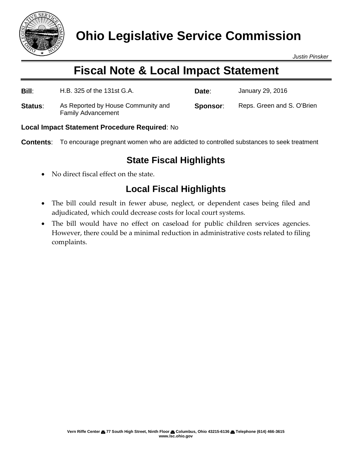

*Justin Pinsker*

# **Fiscal Note & Local Impact Statement**

| Bill:   | H.B. 325 of the 131st G.A.                                      | Date:    | January 29, 2016           |
|---------|-----------------------------------------------------------------|----------|----------------------------|
| Status: | As Reported by House Community and<br><b>Family Advancement</b> | Sponsor: | Reps. Green and S. O'Brien |

#### **Local Impact Statement Procedure Required**: No

**Contents**: To encourage pregnant women who are addicted to controlled substances to seek treatment

### **State Fiscal Highlights**

• No direct fiscal effect on the state.

## **Local Fiscal Highlights**

- The bill could result in fewer abuse, neglect, or dependent cases being filed and adjudicated, which could decrease costs for local court systems.
- The bill would have no effect on caseload for public children services agencies. However, there could be a minimal reduction in administrative costs related to filing complaints.